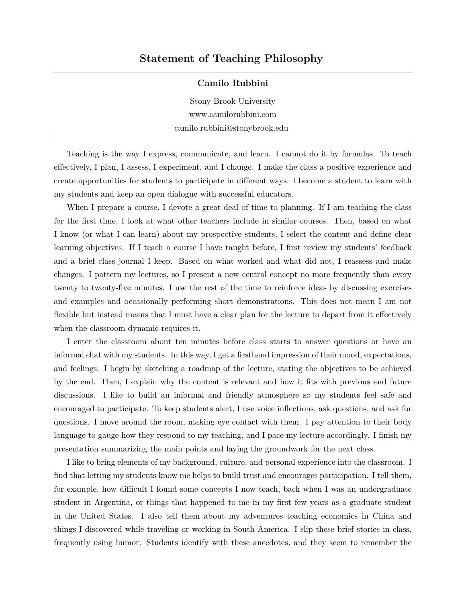## **Statement of Teaching Philosophy**

## **Camilo Rubbini**

Stony Brook University [www.camilorubbini.com](https://www.camilorubbini.com) camilo.rubbini@stonybrook.edu

Teaching is the way I express, communicate, and learn. I cannot do it by formulas. To teach effectively, I plan, I assess, I experiment, and I change. I make the class a positive experience and create opportunities for students to participate in different ways. I become a student to learn with my students and keep an open dialogue with successful educators.

When I prepare a course, I devote a great deal of time to planning. If I am teaching the class for the first time, I look at what other teachers include in similar courses. Then, based on what I know (or what I can learn) about my prospective students, I select the content and define clear learning objectives. If I teach a course I have taught before, I first review my students' feedback and a brief class journal I keep. Based on what worked and what did not, I reassess and make changes. I pattern my lectures, so I present a new central concept no more frequently than every twenty to twenty-five minutes. I use the rest of the time to reinforce ideas by discussing exercises and examples and occasionally performing short demonstrations. This does not mean I am not flexible but instead means that I must have a clear plan for the lecture to depart from it effectively when the classroom dynamic requires it.

I enter the classroom about ten minutes before class starts to answer questions or have an informal chat with my students. In this way, I get a firsthand impression of their mood, expectations, and feelings. I begin by sketching a roadmap of the lecture, stating the objectives to be achieved by the end. Then, I explain why the content is relevant and how it fits with previous and future discussions. I like to build an informal and friendly atmosphere so my students feel safe and encouraged to participate. To keep students alert, I use voice inflections, ask questions, and ask for questions. I move around the room, making eye contact with them. I pay attention to their body language to gauge how they respond to my teaching, and I pace my lecture accordingly. I finish my presentation summarizing the main points and laying the groundwork for the next class.

I like to bring elements of my background, culture, and personal experience into the classroom. I find that letting my students know me helps to build trust and encourages participation. I tell them, for example, how difficult I found some concepts I now teach, back when I was an undergraduate student in Argentina, or things that happened to me in my first few years as a graduate student in the United States. I also tell them about my adventures teaching economics in China and things I discovered while traveling or working in South America. I slip these brief stories in class, frequently using humor. Students identify with these anecdotes, and they seem to remember the